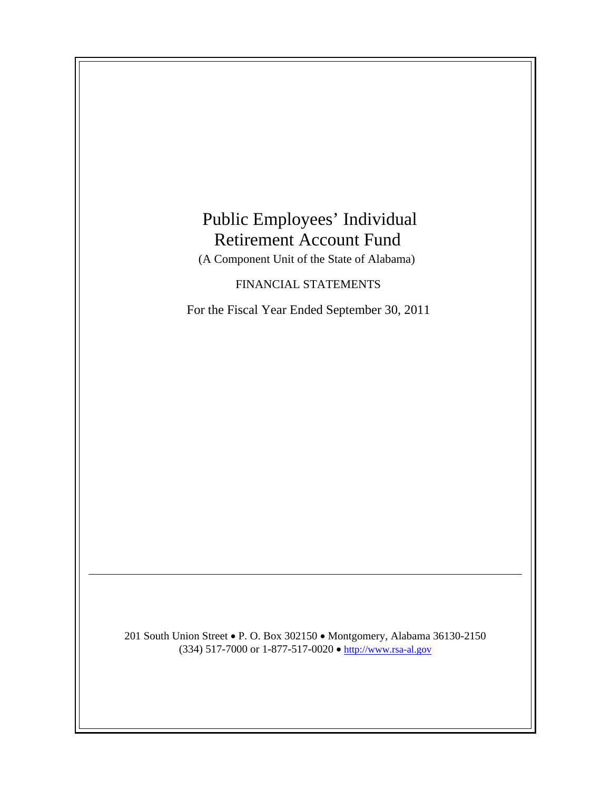# Public Employees' Individual Retirement Account Fund

(A Component Unit of the State of Alabama)

FINANCIAL STATEMENTS

For the Fiscal Year Ended September 30, 2011

201 South Union Street • P. O. Box 302150 • Montgomery, Alabama 36130-2150 (334) 517-7000 or 1-877-517-0020 • http://www.rsa-al.gov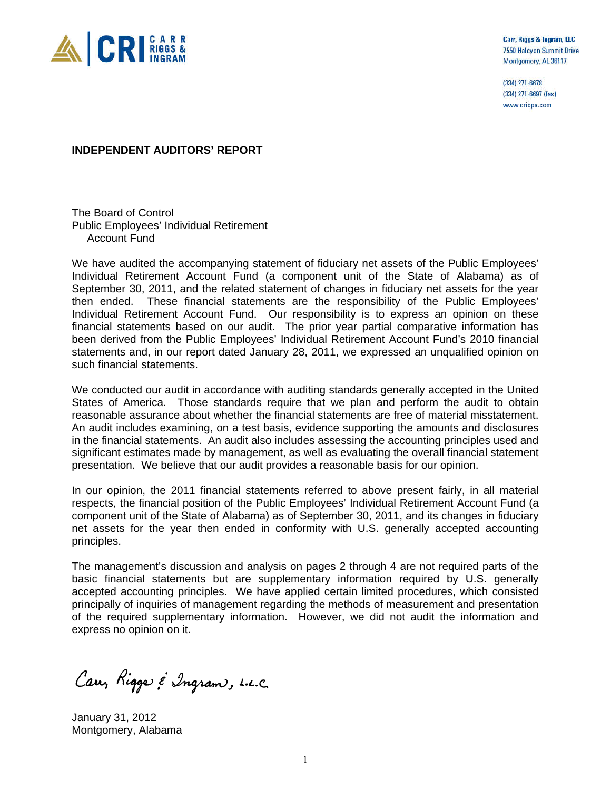

Carr, Riggs & Ingram, LLC 7550 Halcyon Summit Drive Montgomery, AL 36117

(334) 271-6678 (334) 271-6697 (fax) www.cricpa.com

#### **INDEPENDENT AUDITORS' REPORT**

The Board of Control Public Employees' Individual Retirement Account Fund

We have audited the accompanying statement of fiduciary net assets of the Public Employees' Individual Retirement Account Fund (a component unit of the State of Alabama) as of September 30, 2011, and the related statement of changes in fiduciary net assets for the year then ended. These financial statements are the responsibility of the Public Employees' Individual Retirement Account Fund. Our responsibility is to express an opinion on these financial statements based on our audit. The prior year partial comparative information has been derived from the Public Employees' Individual Retirement Account Fund's 2010 financial statements and, in our report dated January 28, 2011, we expressed an unqualified opinion on such financial statements.

We conducted our audit in accordance with auditing standards generally accepted in the United States of America. Those standards require that we plan and perform the audit to obtain reasonable assurance about whether the financial statements are free of material misstatement. An audit includes examining, on a test basis, evidence supporting the amounts and disclosures in the financial statements. An audit also includes assessing the accounting principles used and significant estimates made by management, as well as evaluating the overall financial statement presentation. We believe that our audit provides a reasonable basis for our opinion.

In our opinion, the 2011 financial statements referred to above present fairly, in all material respects, the financial position of the Public Employees' Individual Retirement Account Fund (a component unit of the State of Alabama) as of September 30, 2011, and its changes in fiduciary net assets for the year then ended in conformity with U.S. generally accepted accounting principles.

The management's discussion and analysis on pages 2 through 4 are not required parts of the basic financial statements but are supplementary information required by U.S. generally accepted accounting principles. We have applied certain limited procedures, which consisted principally of inquiries of management regarding the methods of measurement and presentation of the required supplementary information. However, we did not audit the information and express no opinion on it.

Car, Rigge & Ingram, L.L.C.

January 31, 2012 Montgomery, Alabama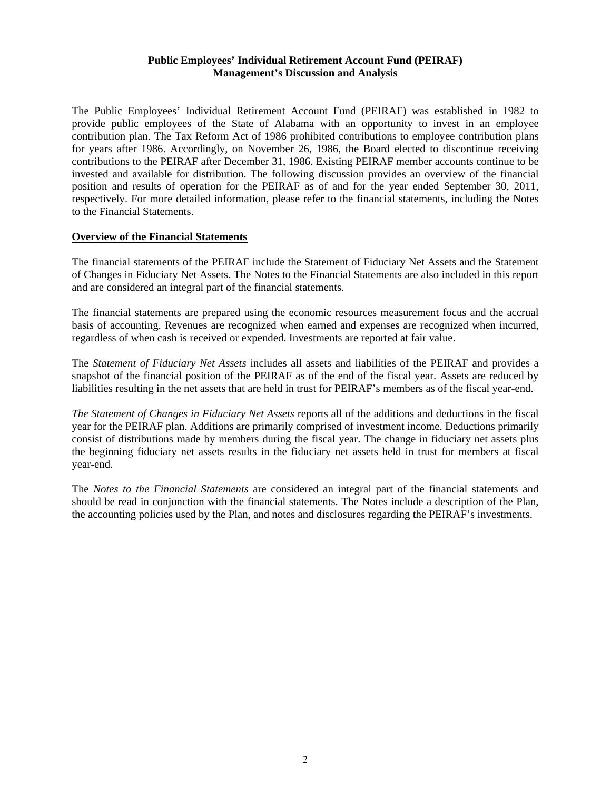#### **Public Employees' Individual Retirement Account Fund (PEIRAF) Management's Discussion and Analysis**

The Public Employees' Individual Retirement Account Fund (PEIRAF) was established in 1982 to provide public employees of the State of Alabama with an opportunity to invest in an employee contribution plan. The Tax Reform Act of 1986 prohibited contributions to employee contribution plans for years after 1986. Accordingly, on November 26, 1986, the Board elected to discontinue receiving contributions to the PEIRAF after December 31, 1986. Existing PEIRAF member accounts continue to be invested and available for distribution. The following discussion provides an overview of the financial position and results of operation for the PEIRAF as of and for the year ended September 30, 2011, respectively. For more detailed information, please refer to the financial statements, including the Notes to the Financial Statements.

#### **Overview of the Financial Statements**

The financial statements of the PEIRAF include the Statement of Fiduciary Net Assets and the Statement of Changes in Fiduciary Net Assets. The Notes to the Financial Statements are also included in this report and are considered an integral part of the financial statements.

The financial statements are prepared using the economic resources measurement focus and the accrual basis of accounting. Revenues are recognized when earned and expenses are recognized when incurred, regardless of when cash is received or expended. Investments are reported at fair value.

The *Statement of Fiduciary Net Assets* includes all assets and liabilities of the PEIRAF and provides a snapshot of the financial position of the PEIRAF as of the end of the fiscal year. Assets are reduced by liabilities resulting in the net assets that are held in trust for PEIRAF's members as of the fiscal year-end.

*The Statement of Changes in Fiduciary Net Assets* reports all of the additions and deductions in the fiscal year for the PEIRAF plan. Additions are primarily comprised of investment income. Deductions primarily consist of distributions made by members during the fiscal year. The change in fiduciary net assets plus the beginning fiduciary net assets results in the fiduciary net assets held in trust for members at fiscal year-end.

The *Notes to the Financial Statements* are considered an integral part of the financial statements and should be read in conjunction with the financial statements. The Notes include a description of the Plan, the accounting policies used by the Plan, and notes and disclosures regarding the PEIRAF's investments.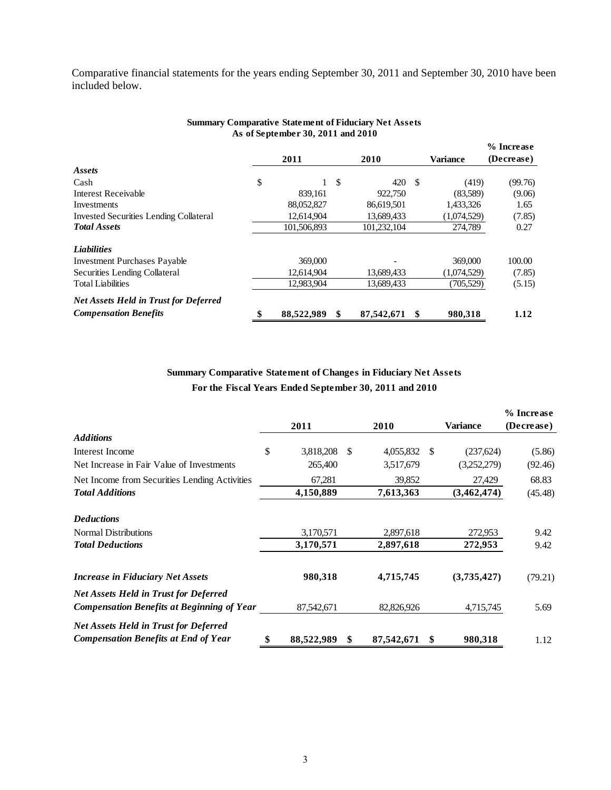Comparative financial statements for the years ending September 30, 2011 and September 30, 2010 have been included below.

|                                               | 2011             |    | 2010        |               | <b>Variance</b> | (Decrease) |
|-----------------------------------------------|------------------|----|-------------|---------------|-----------------|------------|
| Assets                                        |                  |    |             |               |                 |            |
| Cash                                          | \$               | -S | 420         | <sup>\$</sup> | (419)           | (99.76)    |
| <b>Interest Receivable</b>                    | 839,161          |    | 922,750     |               | (83,589)        | (9.06)     |
| Investments                                   | 88,052,827       |    | 86,619,501  |               | 1,433,326       | 1.65       |
| <b>Invested Securities Lending Collateral</b> | 12,614,904       |    | 13,689,433  |               | (1,074,529)     | (7.85)     |
| <b>Total Assets</b>                           | 101,506,893      |    | 101,232,104 |               | 274,789         | 0.27       |
| <b>Liabilities</b>                            |                  |    |             |               |                 |            |
| <b>Investment Purchases Payable</b>           | 369,000          |    |             |               | 369,000         | 100.00     |
| Securities Lending Collateral                 | 12,614,904       |    | 13,689,433  |               | (1,074,529)     | (7.85)     |
| <b>Total Liabilities</b>                      | 12,983,904       |    | 13,689,433  |               | (705, 529)      | (5.15)     |
| <b>Net Assets Held in Trust for Deferred</b>  |                  |    |             |               |                 |            |
| <b>Compensation Benefits</b>                  | \$<br>88,522,989 | \$ | 87,542,671  | \$            | 980.318         | 1.12       |

#### **Summary Comparative Statement of Fiduciary Net Assets As of September 30, 2011 and 2010**

**% Increase** 

### **Summary Comparative Statement of Changes in Fiduciary Net Assets For the Fiscal Years Ended September 30, 2011 and 2010**

|                                                                                                   |                        |            |    |                 | % Increase |
|---------------------------------------------------------------------------------------------------|------------------------|------------|----|-----------------|------------|
|                                                                                                   | 2011                   | 2010       |    | <b>Variance</b> | (Decrease) |
| <b>Additions</b>                                                                                  |                        |            |    |                 |            |
| Interest Income                                                                                   | \$<br>3,818,208<br>-S  | 4,055,832  | -S | (237, 624)      | (5.86)     |
| Net Increase in Fair Value of Investments                                                         | 265,400                | 3,517,679  |    | (3,252,279)     | (92.46)    |
| Net Income from Securities Lending Activities                                                     | 67,281                 | 39,852     |    | 27,429          | 68.83      |
| <b>Total Additions</b>                                                                            | 4,150,889              | 7,613,363  |    | (3,462,474)     | (45.48)    |
| <b>Deductions</b>                                                                                 |                        |            |    |                 |            |
| <b>Normal Distributions</b>                                                                       | 3,170,571              | 2,897,618  |    | 272,953         | 9.42       |
| <b>Total Deductions</b>                                                                           | 3,170,571              | 2,897,618  |    | 272,953         | 9.42       |
| <b>Increase in Fiduciary Net Assets</b>                                                           | 980,318                | 4,715,745  |    | (3,735,427)     | (79.21)    |
| <b>Net Assets Held in Trust for Deferred</b><br><b>Compensation Benefits at Beginning of Year</b> | 87,542,671             | 82,826,926 |    | 4,715,745       | 5.69       |
|                                                                                                   |                        |            |    |                 |            |
| <b>Net Assets Held in Trust for Deferred</b><br><b>Compensation Benefits at End of Year</b>       | \$<br>88,522,989<br>\$ | 87,542,671 | S  | 980,318         | 1.12       |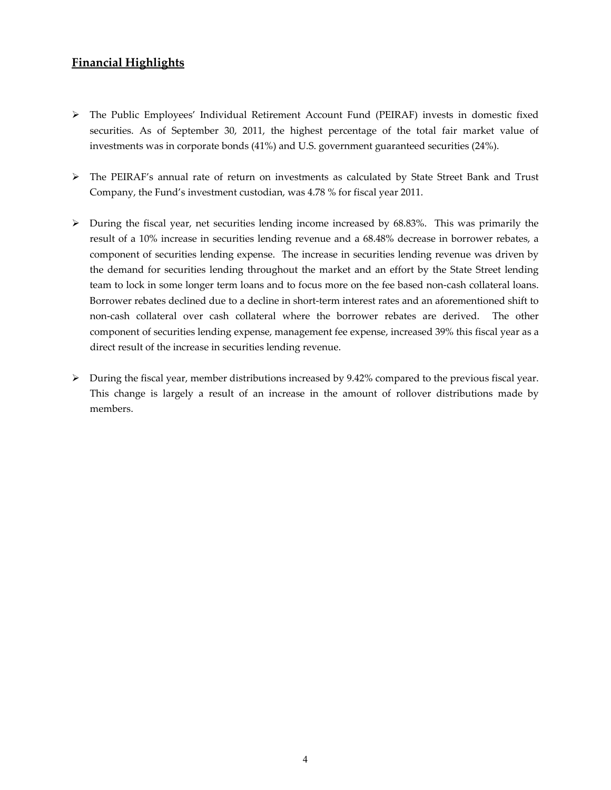## **Financial Highlights**

- The Public Employees' Individual Retirement Account Fund (PEIRAF) invests in domestic fixed securities. As of September 30, 2011, the highest percentage of the total fair market value of investments was in corporate bonds (41%) and U.S. government guaranteed securities (24%).
- The PEIRAF's annual rate of return on investments as calculated by State Street Bank and Trust Company, the Fund's investment custodian, was 4.78 % for fiscal year 2011.
- $\triangleright$  During the fiscal year, net securities lending income increased by 68.83%. This was primarily the result of a 10% increase in securities lending revenue and a 68.48% decrease in borrower rebates, a component of securities lending expense. The increase in securities lending revenue was driven by the demand for securities lending throughout the market and an effort by the State Street lending team to lock in some longer term loans and to focus more on the fee based non‐cash collateral loans. Borrower rebates declined due to a decline in short-term interest rates and an aforementioned shift to non‐cash collateral over cash collateral where the borrower rebates are derived. The other component of securities lending expense, management fee expense, increased 39% this fiscal year as a direct result of the increase in securities lending revenue.
- During the fiscal year, member distributions increased by 9.42% compared to the previous fiscal year. This change is largely a result of an increase in the amount of rollover distributions made by members.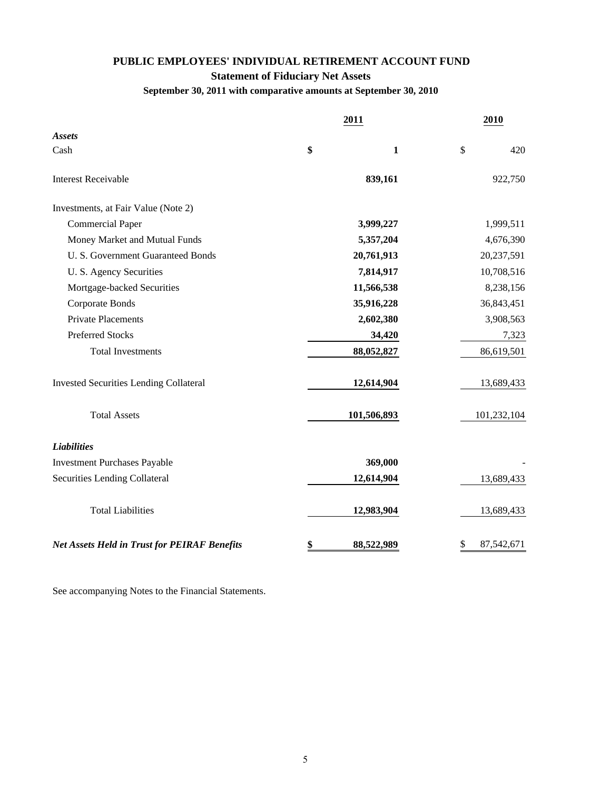## **PUBLIC EMPLOYEES' INDIVIDUAL RETIREMENT ACCOUNT FUND Statement of Fiduciary Net Assets September 30, 2011 with comparative amounts at September 30, 2010**

|                                                     | 2011               | 2010             |
|-----------------------------------------------------|--------------------|------------------|
| <b>Assets</b>                                       |                    |                  |
| Cash                                                | \$<br>$\mathbf{1}$ | \$<br>420        |
| <b>Interest Receivable</b>                          | 839,161            | 922,750          |
| Investments, at Fair Value (Note 2)                 |                    |                  |
| <b>Commercial Paper</b>                             | 3,999,227          | 1,999,511        |
| Money Market and Mutual Funds                       | 5,357,204          | 4,676,390        |
| U. S. Government Guaranteed Bonds                   | 20,761,913         | 20,237,591       |
| U. S. Agency Securities                             | 7,814,917          | 10,708,516       |
| Mortgage-backed Securities                          | 11,566,538         | 8,238,156        |
| Corporate Bonds                                     | 35,916,228         | 36,843,451       |
| <b>Private Placements</b>                           | 2,602,380          | 3,908,563        |
| <b>Preferred Stocks</b>                             | 34,420             | 7,323            |
| <b>Total Investments</b>                            | 88,052,827         | 86,619,501       |
| <b>Invested Securities Lending Collateral</b>       | 12,614,904         | 13,689,433       |
| <b>Total Assets</b>                                 | 101,506,893        | 101,232,104      |
| <b>Liabilities</b>                                  |                    |                  |
| <b>Investment Purchases Payable</b>                 | 369,000            |                  |
| Securities Lending Collateral                       | 12,614,904         | 13,689,433       |
| <b>Total Liabilities</b>                            | 12,983,904         | 13,689,433       |
| <b>Net Assets Held in Trust for PEIRAF Benefits</b> | \$<br>88,522,989   | \$<br>87,542,671 |

See accompanying Notes to the Financial Statements.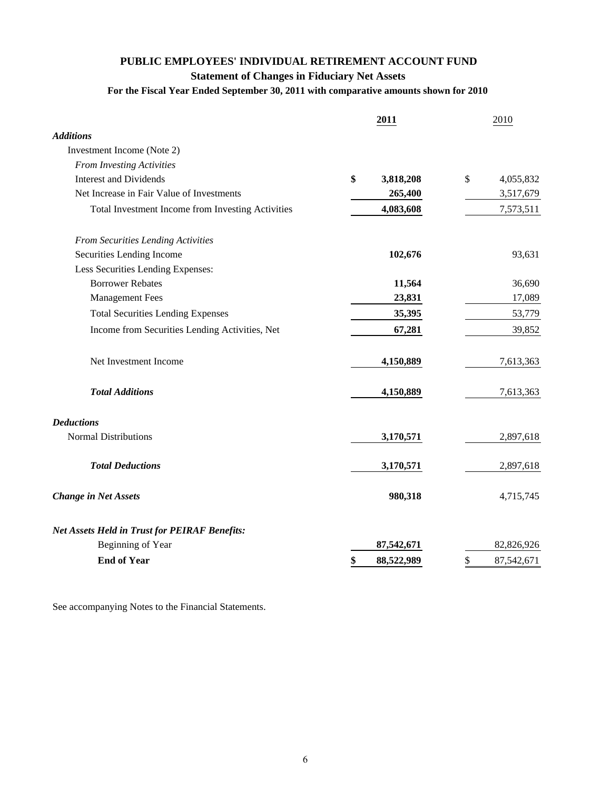## **PUBLIC EMPLOYEES' INDIVIDUAL RETIREMENT ACCOUNT FUND Statement of Changes in Fiduciary Net Assets For the Fiscal Year Ended September 30, 2011 with comparative amounts shown for 2010**

|                                                      | 2011             | 2010             |
|------------------------------------------------------|------------------|------------------|
| <b>Additions</b>                                     |                  |                  |
| Investment Income (Note 2)                           |                  |                  |
| <b>From Investing Activities</b>                     |                  |                  |
| <b>Interest and Dividends</b>                        | \$<br>3,818,208  | \$<br>4,055,832  |
| Net Increase in Fair Value of Investments            | 265,400          | 3,517,679        |
| Total Investment Income from Investing Activities    | 4,083,608        | 7,573,511        |
| From Securities Lending Activities                   |                  |                  |
| Securities Lending Income                            | 102,676          | 93,631           |
| Less Securities Lending Expenses:                    |                  |                  |
| <b>Borrower Rebates</b>                              | 11,564           | 36,690           |
| <b>Management Fees</b>                               | 23,831           | 17,089           |
| <b>Total Securities Lending Expenses</b>             | 35,395           | 53,779           |
| Income from Securities Lending Activities, Net       | 67,281           | 39,852           |
| Net Investment Income                                | 4,150,889        | 7,613,363        |
| <b>Total Additions</b>                               | 4,150,889        | 7,613,363        |
| <b>Deductions</b>                                    |                  |                  |
| <b>Normal Distributions</b>                          | 3,170,571        | 2,897,618        |
| <b>Total Deductions</b>                              | 3,170,571        | 2,897,618        |
| <b>Change in Net Assets</b>                          | 980,318          | 4,715,745        |
| <b>Net Assets Held in Trust for PEIRAF Benefits:</b> |                  |                  |
| Beginning of Year                                    | 87,542,671       | 82,826,926       |
| <b>End of Year</b>                                   | 88,522,989<br>\$ | \$<br>87,542,671 |

See accompanying Notes to the Financial Statements.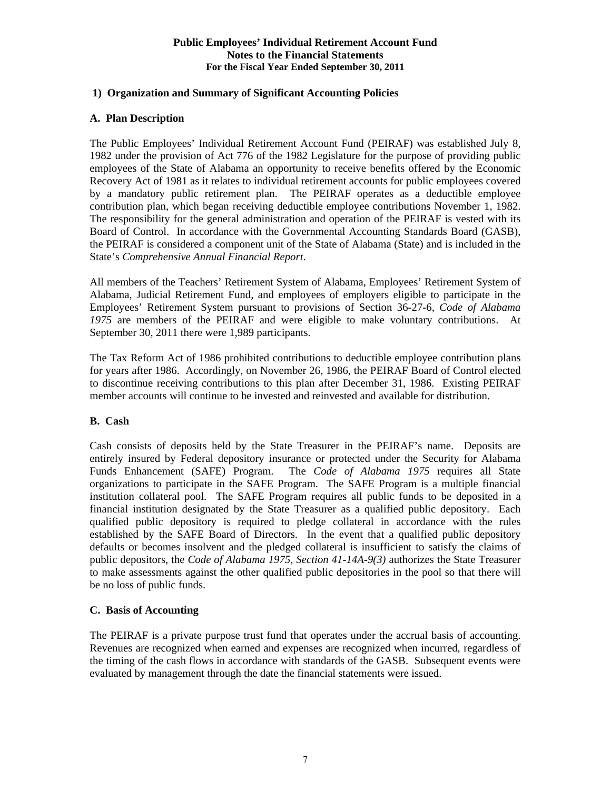#### **Public Employees' Individual Retirement Account Fund Notes to the Financial Statements For the Fiscal Year Ended September 30, 2011**

#### **1) Organization and Summary of Significant Accounting Policies**

#### **A. Plan Description**

The Public Employees' Individual Retirement Account Fund (PEIRAF) was established July 8, 1982 under the provision of Act 776 of the 1982 Legislature for the purpose of providing public employees of the State of Alabama an opportunity to receive benefits offered by the Economic Recovery Act of 1981 as it relates to individual retirement accounts for public employees covered by a mandatory public retirement plan. The PEIRAF operates as a deductible employee contribution plan, which began receiving deductible employee contributions November 1, 1982. The responsibility for the general administration and operation of the PEIRAF is vested with its Board of Control. In accordance with the Governmental Accounting Standards Board (GASB), the PEIRAF is considered a component unit of the State of Alabama (State) and is included in the State's *Comprehensive Annual Financial Report*.

All members of the Teachers' Retirement System of Alabama, Employees' Retirement System of Alabama, Judicial Retirement Fund, and employees of employers eligible to participate in the Employees' Retirement System pursuant to provisions of Section 36-27-6, *Code of Alabama 1975* are members of the PEIRAF and were eligible to make voluntary contributions. At September 30, 2011 there were 1,989 participants.

The Tax Reform Act of 1986 prohibited contributions to deductible employee contribution plans for years after 1986. Accordingly, on November 26, 1986, the PEIRAF Board of Control elected to discontinue receiving contributions to this plan after December 31, 1986. Existing PEIRAF member accounts will continue to be invested and reinvested and available for distribution.

#### **B. Cash**

Cash consists of deposits held by the State Treasurer in the PEIRAF's name. Deposits are entirely insured by Federal depository insurance or protected under the Security for Alabama Funds Enhancement (SAFE) Program. The *Code of Alabama 1975* requires all State organizations to participate in the SAFE Program. The SAFE Program is a multiple financial institution collateral pool. The SAFE Program requires all public funds to be deposited in a financial institution designated by the State Treasurer as a qualified public depository. Each qualified public depository is required to pledge collateral in accordance with the rules established by the SAFE Board of Directors. In the event that a qualified public depository defaults or becomes insolvent and the pledged collateral is insufficient to satisfy the claims of public depositors, the *Code of Alabama 1975, Section 41-14A-9(3)* authorizes the State Treasurer to make assessments against the other qualified public depositories in the pool so that there will be no loss of public funds.

#### **C. Basis of Accounting**

The PEIRAF is a private purpose trust fund that operates under the accrual basis of accounting. Revenues are recognized when earned and expenses are recognized when incurred, regardless of the timing of the cash flows in accordance with standards of the GASB. Subsequent events were evaluated by management through the date the financial statements were issued.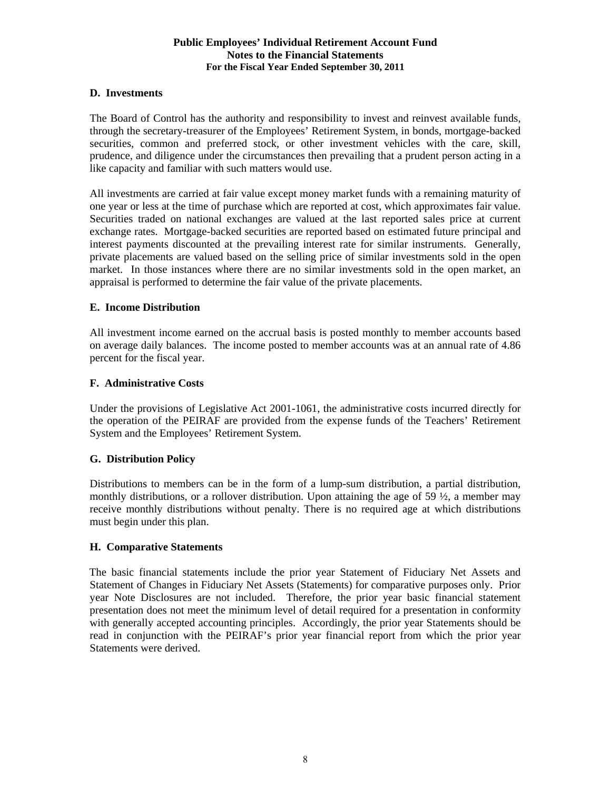#### **Public Employees' Individual Retirement Account Fund Notes to the Financial Statements For the Fiscal Year Ended September 30, 2011**

#### **D. Investments**

The Board of Control has the authority and responsibility to invest and reinvest available funds, through the secretary-treasurer of the Employees' Retirement System, in bonds, mortgage-backed securities, common and preferred stock, or other investment vehicles with the care, skill, prudence, and diligence under the circumstances then prevailing that a prudent person acting in a like capacity and familiar with such matters would use.

All investments are carried at fair value except money market funds with a remaining maturity of one year or less at the time of purchase which are reported at cost, which approximates fair value. Securities traded on national exchanges are valued at the last reported sales price at current exchange rates. Mortgage-backed securities are reported based on estimated future principal and interest payments discounted at the prevailing interest rate for similar instruments. Generally, private placements are valued based on the selling price of similar investments sold in the open market. In those instances where there are no similar investments sold in the open market, an appraisal is performed to determine the fair value of the private placements.

#### **E. Income Distribution**

All investment income earned on the accrual basis is posted monthly to member accounts based on average daily balances. The income posted to member accounts was at an annual rate of 4.86 percent for the fiscal year.

#### **F. Administrative Costs**

Under the provisions of Legislative Act 2001-1061, the administrative costs incurred directly for the operation of the PEIRAF are provided from the expense funds of the Teachers' Retirement System and the Employees' Retirement System.

#### **G. Distribution Policy**

Distributions to members can be in the form of a lump-sum distribution, a partial distribution, monthly distributions, or a rollover distribution. Upon attaining the age of 59  $\frac{1}{2}$ , a member may receive monthly distributions without penalty. There is no required age at which distributions must begin under this plan.

#### **H. Comparative Statements**

 The basic financial statements include the prior year Statement of Fiduciary Net Assets and Statement of Changes in Fiduciary Net Assets (Statements) for comparative purposes only. Prior year Note Disclosures are not included. Therefore, the prior year basic financial statement presentation does not meet the minimum level of detail required for a presentation in conformity with generally accepted accounting principles. Accordingly, the prior year Statements should be read in conjunction with the PEIRAF's prior year financial report from which the prior year Statements were derived.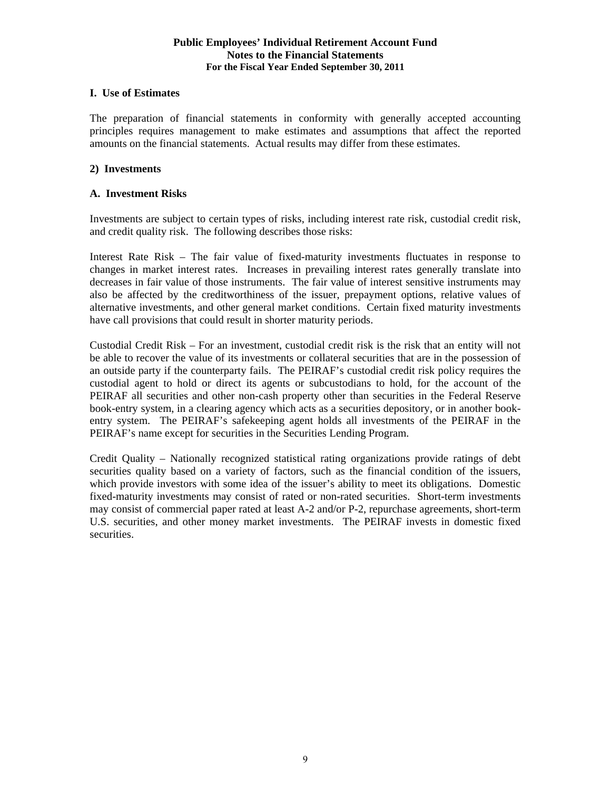#### **Public Employees' Individual Retirement Account Fund Notes to the Financial Statements For the Fiscal Year Ended September 30, 2011**

#### **I. Use of Estimates**

The preparation of financial statements in conformity with generally accepted accounting principles requires management to make estimates and assumptions that affect the reported amounts on the financial statements. Actual results may differ from these estimates.

#### **2) Investments**

#### **A. Investment Risks**

Investments are subject to certain types of risks, including interest rate risk, custodial credit risk, and credit quality risk. The following describes those risks:

Interest Rate Risk – The fair value of fixed-maturity investments fluctuates in response to changes in market interest rates. Increases in prevailing interest rates generally translate into decreases in fair value of those instruments. The fair value of interest sensitive instruments may also be affected by the creditworthiness of the issuer, prepayment options, relative values of alternative investments, and other general market conditions. Certain fixed maturity investments have call provisions that could result in shorter maturity periods.

Custodial Credit Risk – For an investment, custodial credit risk is the risk that an entity will not be able to recover the value of its investments or collateral securities that are in the possession of an outside party if the counterparty fails. The PEIRAF's custodial credit risk policy requires the custodial agent to hold or direct its agents or subcustodians to hold, for the account of the PEIRAF all securities and other non-cash property other than securities in the Federal Reserve book-entry system, in a clearing agency which acts as a securities depository, or in another bookentry system. The PEIRAF's safekeeping agent holds all investments of the PEIRAF in the PEIRAF's name except for securities in the Securities Lending Program.

Credit Quality – Nationally recognized statistical rating organizations provide ratings of debt securities quality based on a variety of factors, such as the financial condition of the issuers, which provide investors with some idea of the issuer's ability to meet its obligations. Domestic fixed-maturity investments may consist of rated or non-rated securities. Short-term investments may consist of commercial paper rated at least A-2 and/or P-2, repurchase agreements, short-term U.S. securities, and other money market investments. The PEIRAF invests in domestic fixed securities.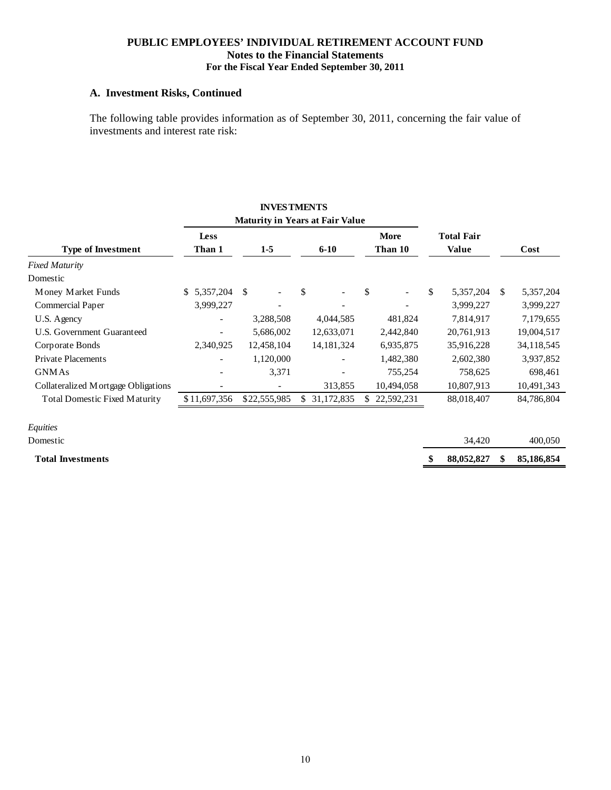#### **PUBLIC EMPLOYEES' INDIVIDUAL RETIREMENT ACCOUNT FUND Notes to the Financial Statements For the Fiscal Year Ended September 30, 2011**

#### **A. Investment Risks, Continued**

The following table provides information as of September 30, 2011, concerning the fair value of investments and interest rate risk:

|                                      |                                        | <b>INVESTMENTS</b> |    |               |    |             |                   |               |            |
|--------------------------------------|----------------------------------------|--------------------|----|---------------|----|-------------|-------------------|---------------|------------|
|                                      | <b>Maturity in Years at Fair Value</b> |                    |    |               |    |             |                   |               |            |
|                                      | <b>Less</b>                            |                    |    |               |    | <b>More</b> | <b>Total Fair</b> |               |            |
| <b>Type of Investment</b>            | Than 1                                 | $1-5$              |    | $6 - 10$      |    | Than 10     | <b>Value</b>      |               | Cost       |
| <b>Fixed Maturity</b>                |                                        |                    |    |               |    |             |                   |               |            |
| Domestic                             |                                        |                    |    |               |    |             |                   |               |            |
| Money Market Funds                   | \$5,357,204                            | \$                 | \$ |               | \$ |             | \$<br>5,357,204   | <sup>\$</sup> | 5,357,204  |
| Commercial Paper                     | 3,999,227                              |                    |    |               |    |             | 3,999,227         |               | 3,999,227  |
| U.S. Agency                          | $\overline{\phantom{0}}$               | 3,288,508          |    | 4,044,585     |    | 481,824     | 7,814,917         |               | 7,179,655  |
| U.S. Government Guaranteed           |                                        | 5,686,002          |    | 12,633,071    |    | 2,442,840   | 20,761,913        |               | 19,004,517 |
| Corporate Bonds                      | 2,340,925                              | 12,458,104         |    | 14, 181, 324  |    | 6,935,875   | 35,916,228        |               | 34,118,545 |
| <b>Private Placements</b>            |                                        | 1,120,000          |    |               |    | 1,482,380   | 2,602,380         |               | 3,937,852  |
| <b>GNMAs</b>                         |                                        | 3,371              |    |               |    | 755,254     | 758,625           |               | 698,461    |
| Collateralized Mortgage Obligations  |                                        |                    |    | 313,855       |    | 10,494,058  | 10,807,913        |               | 10,491,343 |
| <b>Total Domestic Fixed Maturity</b> | \$11,697,356                           | \$22,555,985       |    | \$ 31,172,835 | S. | 22,592,231  | 88,018,407        |               | 84,786,804 |
| Equities                             |                                        |                    |    |               |    |             |                   |               |            |
| Domestic                             |                                        |                    |    |               |    |             | 34,420            |               | 400,050    |
| <b>Total Investments</b>             |                                        |                    |    |               |    |             | \$<br>88,052,827  |               | 85,186,854 |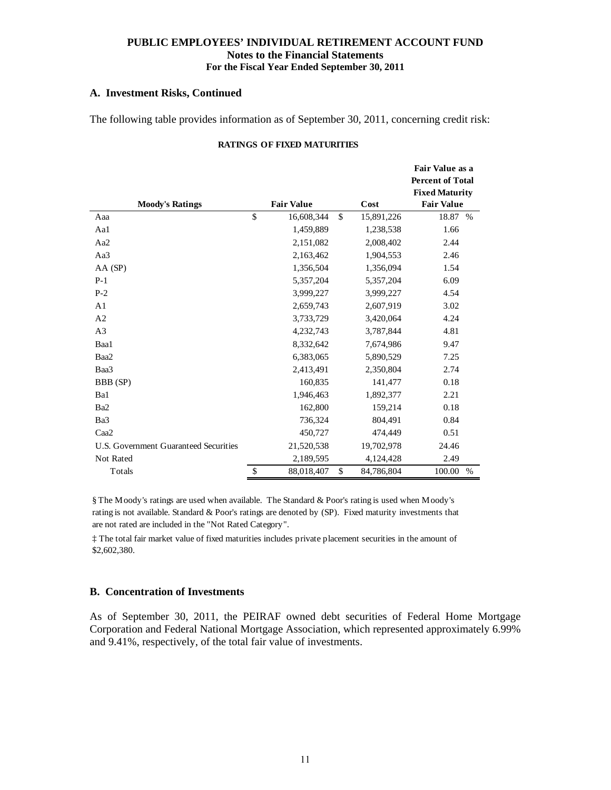#### **PUBLIC EMPLOYEES' INDIVIDUAL RETIREMENT ACCOUNT FUND Notes to the Financial Statements For the Fiscal Year Ended September 30, 2011**

#### **A. Investment Risks, Continued**

The following table provides information as of September 30, 2011, concerning credit risk:

#### **RATINGS OF FIXED MATURITIES**

|                                       |                   |               |            | Fair Value as a         |
|---------------------------------------|-------------------|---------------|------------|-------------------------|
|                                       |                   |               |            | <b>Percent of Total</b> |
|                                       |                   |               |            | <b>Fixed Maturity</b>   |
| <b>Moody's Ratings</b>                | <b>Fair Value</b> |               | Cost       | <b>Fair Value</b>       |
| Aaa                                   | \$<br>16,608,344  | $\mathsf{\$}$ | 15,891,226 | 18.87 %                 |
| Aa1                                   | 1,459,889         |               | 1,238,538  | 1.66                    |
| Aa2                                   | 2,151,082         |               | 2,008,402  | 2.44                    |
| Aa3                                   | 2,163,462         |               | 1,904,553  | 2.46                    |
| AA (SP)                               | 1,356,504         |               | 1,356,094  | 1.54                    |
| $P-1$                                 | 5,357,204         |               | 5,357,204  | 6.09                    |
| $P-2$                                 | 3,999,227         |               | 3,999,227  | 4.54                    |
| A <sub>1</sub>                        | 2,659,743         |               | 2,607,919  | 3.02                    |
| A <sub>2</sub>                        | 3,733,729         |               | 3,420,064  | 4.24                    |
| A <sub>3</sub>                        | 4,232,743         |               | 3,787,844  | 4.81                    |
| Baa1                                  | 8,332,642         |               | 7,674,986  | 9.47                    |
| Baa2                                  | 6,383,065         |               | 5,890,529  | 7.25                    |
| Baa3                                  | 2,413,491         |               | 2,350,804  | 2.74                    |
| BBB (SP)                              | 160,835           |               | 141,477    | 0.18                    |
| Ba1                                   | 1,946,463         |               | 1,892,377  | 2.21                    |
| Ba <sub>2</sub>                       | 162,800           |               | 159,214    | 0.18                    |
| Ba3                                   | 736,324           |               | 804,491    | 0.84                    |
| Caa <sub>2</sub>                      | 450,727           |               | 474,449    | 0.51                    |
| U.S. Government Guaranteed Securities | 21,520,538        |               | 19,702,978 | 24.46                   |
| <b>Not Rated</b>                      | 2,189,595         |               | 4,124,428  | 2.49                    |
| Totals                                | \$<br>88,018,407  | \$            | 84,786,804 | 100.00<br>$\%$          |

§ The Moody's ratings are used when available. The Standard & Poor's rating is used when Moody's rating is not available. Standard & Poor's ratings are denoted by (SP). Fixed maturity investments that are not rated are included in the "Not Rated Category".

‡ The total fair market value of fixed maturities includes private placement securities in the amount of \$2,602,380.

#### **B. Concentration of Investments**

As of September 30, 2011, the PEIRAF owned debt securities of Federal Home Mortgage Corporation and Federal National Mortgage Association, which represented approximately 6.99% and 9.41%, respectively, of the total fair value of investments.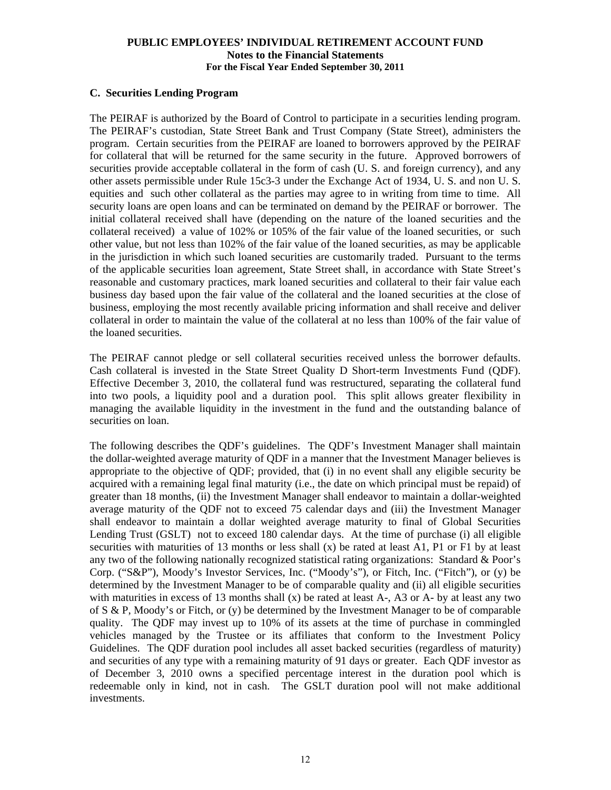#### **PUBLIC EMPLOYEES' INDIVIDUAL RETIREMENT ACCOUNT FUND Notes to the Financial Statements For the Fiscal Year Ended September 30, 2011**

#### **C. Securities Lending Program**

The PEIRAF is authorized by the Board of Control to participate in a securities lending program. The PEIRAF's custodian, State Street Bank and Trust Company (State Street), administers the program. Certain securities from the PEIRAF are loaned to borrowers approved by the PEIRAF for collateral that will be returned for the same security in the future. Approved borrowers of securities provide acceptable collateral in the form of cash (U. S. and foreign currency), and any other assets permissible under Rule 15c3-3 under the Exchange Act of 1934, U. S. and non U. S. equities and such other collateral as the parties may agree to in writing from time to time. All security loans are open loans and can be terminated on demand by the PEIRAF or borrower. The initial collateral received shall have (depending on the nature of the loaned securities and the collateral received) a value of 102% or 105% of the fair value of the loaned securities, or such other value, but not less than 102% of the fair value of the loaned securities, as may be applicable in the jurisdiction in which such loaned securities are customarily traded. Pursuant to the terms of the applicable securities loan agreement, State Street shall, in accordance with State Street's reasonable and customary practices, mark loaned securities and collateral to their fair value each business day based upon the fair value of the collateral and the loaned securities at the close of business, employing the most recently available pricing information and shall receive and deliver collateral in order to maintain the value of the collateral at no less than 100% of the fair value of the loaned securities.

The PEIRAF cannot pledge or sell collateral securities received unless the borrower defaults. Cash collateral is invested in the State Street Quality D Short-term Investments Fund (QDF). Effective December 3, 2010, the collateral fund was restructured, separating the collateral fund into two pools, a liquidity pool and a duration pool. This split allows greater flexibility in managing the available liquidity in the investment in the fund and the outstanding balance of securities on loan.

The following describes the QDF's guidelines. The QDF's Investment Manager shall maintain the dollar-weighted average maturity of QDF in a manner that the Investment Manager believes is appropriate to the objective of QDF; provided, that (i) in no event shall any eligible security be acquired with a remaining legal final maturity (i.e., the date on which principal must be repaid) of greater than 18 months, (ii) the Investment Manager shall endeavor to maintain a dollar-weighted average maturity of the QDF not to exceed 75 calendar days and (iii) the Investment Manager shall endeavor to maintain a dollar weighted average maturity to final of Global Securities Lending Trust (GSLT) not to exceed 180 calendar days. At the time of purchase (i) all eligible securities with maturities of 13 months or less shall  $(x)$  be rated at least A1, P1 or F1 by at least any two of the following nationally recognized statistical rating organizations: Standard & Poor's Corp. ("S&P"), Moody's Investor Services, Inc. ("Moody's"), or Fitch, Inc. ("Fitch"), or (y) be determined by the Investment Manager to be of comparable quality and (ii) all eligible securities with maturities in excess of 13 months shall  $(x)$  be rated at least A-, A3 or A- by at least any two of  $S \& P$ , Moody's or Fitch, or (y) be determined by the Investment Manager to be of comparable quality. The QDF may invest up to 10% of its assets at the time of purchase in commingled vehicles managed by the Trustee or its affiliates that conform to the Investment Policy Guidelines. The QDF duration pool includes all asset backed securities (regardless of maturity) and securities of any type with a remaining maturity of 91 days or greater. Each QDF investor as of December 3, 2010 owns a specified percentage interest in the duration pool which is redeemable only in kind, not in cash. The GSLT duration pool will not make additional investments.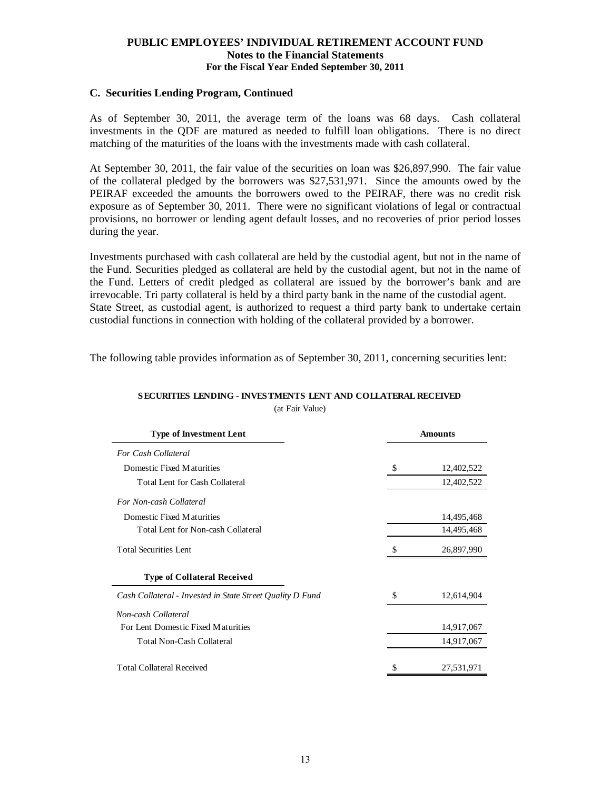#### **PUBLIC EMPLOYEES' INDIVIDUAL RETIREMENT ACCOUNT FUND Notes to the Financial Statements For the Fiscal Year Ended September 30, 2011**

#### **C. Securities Lending Program, Continued**

As of September 30, 2011, the average term of the loans was 68 days. Cash collateral investments in the QDF are matured as needed to fulfill loan obligations. There is no direct matching of the maturities of the loans with the investments made with cash collateral.

At September 30, 2011, the fair value of the securities on loan was \$26,897,990. The fair value of the collateral pledged by the borrowers was \$27,531,971. Since the amounts owed by the PEIRAF exceeded the amounts the borrowers owed to the PEIRAF, there was no credit risk exposure as of September 30, 2011. There were no significant violations of legal or contractual provisions, no borrower or lending agent default losses, and no recoveries of prior period losses during the year.

Investments purchased with cash collateral are held by the custodial agent, but not in the name of the Fund. Securities pledged as collateral are held by the custodial agent, but not in the name of the Fund. Letters of credit pledged as collateral are issued by the borrower's bank and are irrevocable. Tri party collateral is held by a third party bank in the name of the custodial agent. State Street, as custodial agent, is authorized to request a third party bank to undertake certain custodial functions in connection with holding of the collateral provided by a borrower.

The following table provides information as of September 30, 2011, concerning securities lent:

| <b>Type of Investment Lent</b>                            | <b>Amounts</b>   |  |  |  |
|-----------------------------------------------------------|------------------|--|--|--|
| <b>For Cash Collateral</b>                                |                  |  |  |  |
| Domestic Fixed Maturities                                 | \$<br>12,402,522 |  |  |  |
| <b>Total Lent for Cash Collateral</b>                     | 12,402,522       |  |  |  |
| For Non-cash Collateral                                   |                  |  |  |  |
| Domestic Fixed Maturities                                 | 14,495,468       |  |  |  |
| Total Lent for Non-cash Collateral                        | 14,495,468       |  |  |  |
| <b>Total Securities Lent</b>                              | 26,897,990       |  |  |  |
| <b>Type of Collateral Received</b>                        |                  |  |  |  |
| Cash Collateral - Invested in State Street Quality D Fund | \$<br>12,614,904 |  |  |  |
| Non-cash Collateral                                       |                  |  |  |  |
| For Lent Domestic Fixed Maturities                        | 14,917,067       |  |  |  |
| <b>Total Non-Cash Collateral</b>                          | 14,917,067       |  |  |  |
| <b>Total Collateral Received</b>                          | 27,531,971       |  |  |  |

## **SECURITIES LENDING - INVESTMENTS LENT AND COLLATERAL RECEIVED**

(at Fair Value)